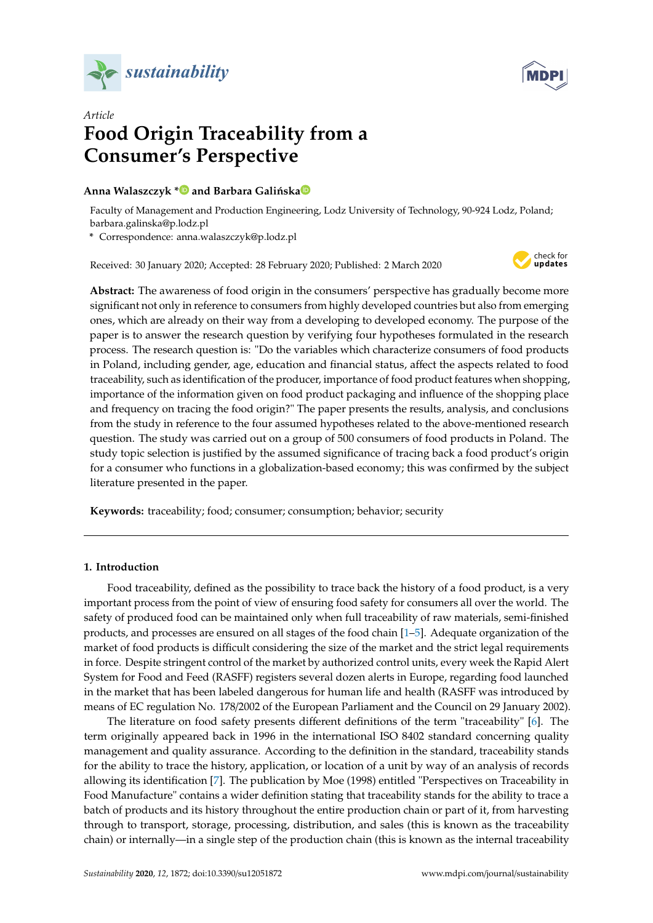



# *Article* **Food Origin Traceability from a Consumer's Perspective**

# **Ann[a](https://orcid.org/0000-0001-9682-4693) Walaszczyk**  $*$  **and Barbara Galińska**

Faculty of Management and Production Engineering, Lodz University of Technology, 90-924 Lodz, Poland; barbara.galinska@p.lodz.pl

**\*** Correspondence: anna.walaszczyk@p.lodz.pl

Received: 30 January 2020; Accepted: 28 February 2020; Published: 2 March 2020



**Abstract:** The awareness of food origin in the consumers' perspective has gradually become more significant not only in reference to consumers from highly developed countries but also from emerging ones, which are already on their way from a developing to developed economy. The purpose of the paper is to answer the research question by verifying four hypotheses formulated in the research process. The research question is: "Do the variables which characterize consumers of food products in Poland, including gender, age, education and financial status, affect the aspects related to food traceability, such as identification of the producer, importance of food product features when shopping, importance of the information given on food product packaging and influence of the shopping place and frequency on tracing the food origin?" The paper presents the results, analysis, and conclusions from the study in reference to the four assumed hypotheses related to the above-mentioned research question. The study was carried out on a group of 500 consumers of food products in Poland. The study topic selection is justified by the assumed significance of tracing back a food product's origin for a consumer who functions in a globalization-based economy; this was confirmed by the subject literature presented in the paper.

**Keywords:** traceability; food; consumer; consumption; behavior; security

# **1. Introduction**

Food traceability, defined as the possibility to trace back the history of a food product, is a very important process from the point of view of ensuring food safety for consumers all over the world. The safety of produced food can be maintained only when full traceability of raw materials, semi-finished products, and processes are ensured on all stages of the food chain [\[1](#page-8-0)[–5\]](#page-8-1). Adequate organization of the market of food products is difficult considering the size of the market and the strict legal requirements in force. Despite stringent control of the market by authorized control units, every week the Rapid Alert System for Food and Feed (RASFF) registers several dozen alerts in Europe, regarding food launched in the market that has been labeled dangerous for human life and health (RASFF was introduced by means of EC regulation No. 178/2002 of the European Parliament and the Council on 29 January 2002).

The literature on food safety presents different definitions of the term "traceability" [\[6\]](#page-8-2). The term originally appeared back in 1996 in the international ISO 8402 standard concerning quality management and quality assurance. According to the definition in the standard, traceability stands for the ability to trace the history, application, or location of a unit by way of an analysis of records allowing its identification [\[7\]](#page-8-3). The publication by Moe (1998) entitled "Perspectives on Traceability in Food Manufacture" contains a wider definition stating that traceability stands for the ability to trace a batch of products and its history throughout the entire production chain or part of it, from harvesting through to transport, storage, processing, distribution, and sales (this is known as the traceability chain) or internally—in a single step of the production chain (this is known as the internal traceability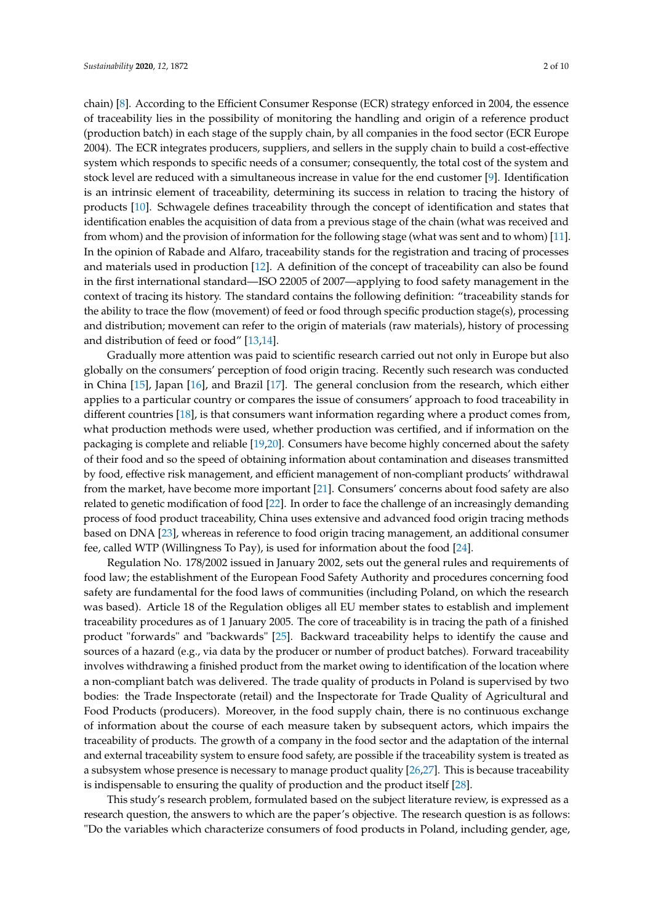chain) [\[8\]](#page-8-4). According to the Efficient Consumer Response (ECR) strategy enforced in 2004, the essence of traceability lies in the possibility of monitoring the handling and origin of a reference product (production batch) in each stage of the supply chain, by all companies in the food sector (ECR Europe 2004). The ECR integrates producers, suppliers, and sellers in the supply chain to build a cost-effective system which responds to specific needs of a consumer; consequently, the total cost of the system and stock level are reduced with a simultaneous increase in value for the end customer [\[9\]](#page-8-5). Identification is an intrinsic element of traceability, determining its success in relation to tracing the history of products [\[10\]](#page-8-6). Schwagele defines traceability through the concept of identification and states that identification enables the acquisition of data from a previous stage of the chain (what was received and from whom) and the provision of information for the following stage (what was sent and to whom) [\[11\]](#page-8-7). In the opinion of Rabade and Alfaro, traceability stands for the registration and tracing of processes and materials used in production [\[12\]](#page-8-8). A definition of the concept of traceability can also be found in the first international standard—ISO 22005 of 2007—applying to food safety management in the context of tracing its history. The standard contains the following definition: "traceability stands for the ability to trace the flow (movement) of feed or food through specific production stage(s), processing and distribution; movement can refer to the origin of materials (raw materials), history of processing and distribution of feed or food" [\[13,](#page-9-0)[14\]](#page-9-1).

Gradually more attention was paid to scientific research carried out not only in Europe but also globally on the consumers' perception of food origin tracing. Recently such research was conducted in China [\[15\]](#page-9-2), Japan [\[16\]](#page-9-3), and Brazil [\[17\]](#page-9-4). The general conclusion from the research, which either applies to a particular country or compares the issue of consumers' approach to food traceability in different countries [\[18\]](#page-9-5), is that consumers want information regarding where a product comes from, what production methods were used, whether production was certified, and if information on the packaging is complete and reliable [\[19,](#page-9-6)[20\]](#page-9-7). Consumers have become highly concerned about the safety of their food and so the speed of obtaining information about contamination and diseases transmitted by food, effective risk management, and efficient management of non-compliant products' withdrawal from the market, have become more important [\[21\]](#page-9-8). Consumers' concerns about food safety are also related to genetic modification of food [\[22\]](#page-9-9). In order to face the challenge of an increasingly demanding process of food product traceability, China uses extensive and advanced food origin tracing methods based on DNA [\[23\]](#page-9-10), whereas in reference to food origin tracing management, an additional consumer fee, called WTP (Willingness To Pay), is used for information about the food [\[24\]](#page-9-11).

Regulation No. 178/2002 issued in January 2002, sets out the general rules and requirements of food law; the establishment of the European Food Safety Authority and procedures concerning food safety are fundamental for the food laws of communities (including Poland, on which the research was based). Article 18 of the Regulation obliges all EU member states to establish and implement traceability procedures as of 1 January 2005. The core of traceability is in tracing the path of a finished product "forwards" and "backwards" [\[25\]](#page-9-12). Backward traceability helps to identify the cause and sources of a hazard (e.g., via data by the producer or number of product batches). Forward traceability involves withdrawing a finished product from the market owing to identification of the location where a non-compliant batch was delivered. The trade quality of products in Poland is supervised by two bodies: the Trade Inspectorate (retail) and the Inspectorate for Trade Quality of Agricultural and Food Products (producers). Moreover, in the food supply chain, there is no continuous exchange of information about the course of each measure taken by subsequent actors, which impairs the traceability of products. The growth of a company in the food sector and the adaptation of the internal and external traceability system to ensure food safety, are possible if the traceability system is treated as a subsystem whose presence is necessary to manage product quality [\[26](#page-9-13)[,27\]](#page-9-14). This is because traceability is indispensable to ensuring the quality of production and the product itself [\[28\]](#page-9-15).

This study's research problem, formulated based on the subject literature review, is expressed as a research question, the answers to which are the paper's objective. The research question is as follows: "Do the variables which characterize consumers of food products in Poland, including gender, age,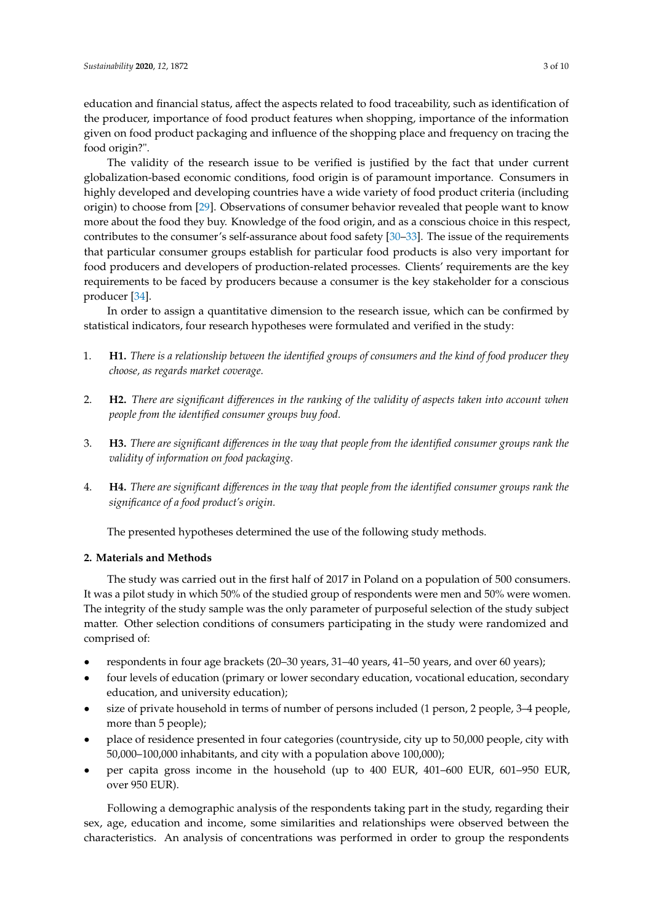education and financial status, affect the aspects related to food traceability, such as identification of the producer, importance of food product features when shopping, importance of the information given on food product packaging and influence of the shopping place and frequency on tracing the food origin?".

The validity of the research issue to be verified is justified by the fact that under current globalization-based economic conditions, food origin is of paramount importance. Consumers in highly developed and developing countries have a wide variety of food product criteria (including origin) to choose from [\[29\]](#page-9-16). Observations of consumer behavior revealed that people want to know more about the food they buy. Knowledge of the food origin, and as a conscious choice in this respect, contributes to the consumer's self-assurance about food safety [\[30](#page-9-17)[–33\]](#page-9-18). The issue of the requirements that particular consumer groups establish for particular food products is also very important for food producers and developers of production-related processes. Clients' requirements are the key requirements to be faced by producers because a consumer is the key stakeholder for a conscious producer [\[34\]](#page-9-19).

In order to assign a quantitative dimension to the research issue, which can be confirmed by statistical indicators, four research hypotheses were formulated and verified in the study:

- 1. **H1.** *There is a relationship between the identified groups of consumers and the kind of food producer they choose, as regards market coverage.*
- 2. **H2.** *There are significant di*ff*erences in the ranking of the validity of aspects taken into account when people from the identified consumer groups buy food.*
- 3. **H3.** *There are significant di*ff*erences in the way that people from the identified consumer groups rank the validity of information on food packaging.*
- 4. **H4.** *There are significant di*ff*erences in the way that people from the identified consumer groups rank the significance of a food product's origin.*

The presented hypotheses determined the use of the following study methods.

#### **2. Materials and Methods**

The study was carried out in the first half of 2017 in Poland on a population of 500 consumers. It was a pilot study in which 50% of the studied group of respondents were men and 50% were women. The integrity of the study sample was the only parameter of purposeful selection of the study subject matter. Other selection conditions of consumers participating in the study were randomized and comprised of:

- respondents in four age brackets (20–30 years, 31–40 years, 41–50 years, and over 60 years);
- four levels of education (primary or lower secondary education, vocational education, secondary education, and university education);
- size of private household in terms of number of persons included (1 person, 2 people, 3–4 people, more than 5 people);
- place of residence presented in four categories (countryside, city up to 50,000 people, city with 50,000–100,000 inhabitants, and city with a population above 100,000);
- per capita gross income in the household (up to 400 EUR, 401–600 EUR, 601–950 EUR, over 950 EUR).

Following a demographic analysis of the respondents taking part in the study, regarding their sex, age, education and income, some similarities and relationships were observed between the characteristics. An analysis of concentrations was performed in order to group the respondents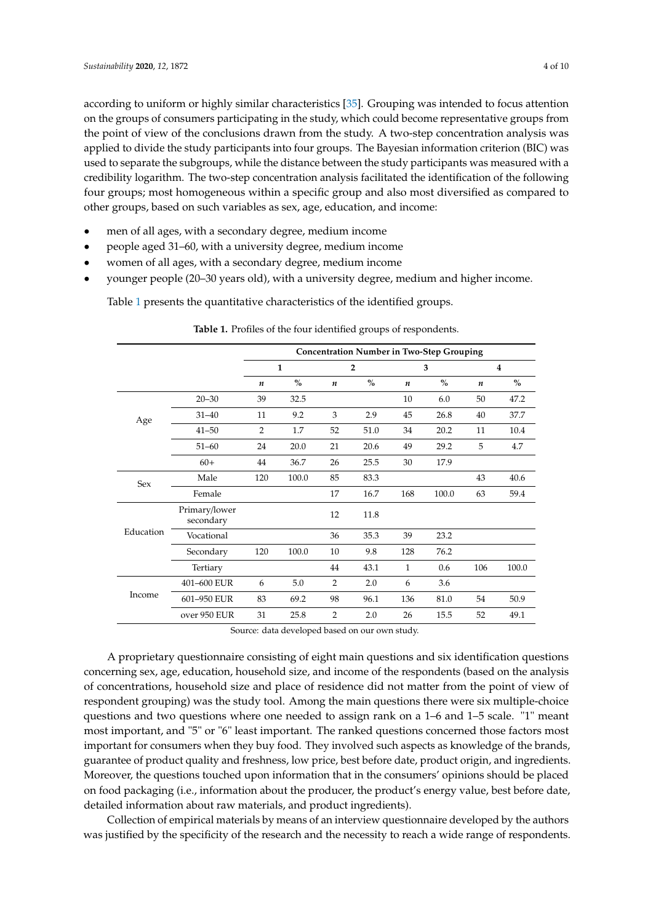according to uniform or highly similar characteristics [\[35\]](#page-9-20). Grouping was intended to focus attention on the groups of consumers participating in the study, which could become representative groups from the point of view of the conclusions drawn from the study. A two-step concentration analysis was applied to divide the study participants into four groups. The Bayesian information criterion (BIC) was used to separate the subgroups, while the distance between the study participants was measured with a credibility logarithm. The two-step concentration analysis facilitated the identification of the following four groups; most homogeneous within a specific group and also most diversified as compared to other groups, based on such variables as sex, age, education, and income:

- men of all ages, with a secondary degree, medium income
- people aged 31–60, with a university degree, medium income
- women of all ages, with a secondary degree, medium income
- younger people (20–30 years old), with a university degree, medium and higher income.

<span id="page-3-0"></span>Table [1](#page-3-0) presents the quantitative characteristics of the identified groups.

|           |                            | <b>Concentration Number in Two-Step Grouping</b> |               |                  |                |                  |       |                  |                         |  |  |
|-----------|----------------------------|--------------------------------------------------|---------------|------------------|----------------|------------------|-------|------------------|-------------------------|--|--|
|           |                            |                                                  | $\mathbf{1}$  |                  | $\overline{2}$ |                  | 3     |                  | $\overline{\mathbf{4}}$ |  |  |
|           |                            | n                                                | $\frac{0}{0}$ | $\boldsymbol{n}$ | $\frac{0}{0}$  | $\boldsymbol{n}$ | $\%$  | $\boldsymbol{n}$ | $\frac{0}{0}$           |  |  |
| Age       | $20 - 30$                  | 39                                               | 32.5          |                  |                | 10               | 6.0   | 50               | 47.2                    |  |  |
|           | $31 - 40$                  | 11                                               | 9.2           | 3                | 2.9            | 45               | 26.8  | 40               | 37.7                    |  |  |
|           | $41 - 50$                  | $\overline{2}$                                   | 1.7           | 52               | 51.0           | 34               | 20.2  | 11               | 10.4                    |  |  |
|           | $51 - 60$                  | 24                                               | 20.0          | 21               | 20.6           | 49               | 29.2  | 5                | 4.7                     |  |  |
|           | $60+$                      | 44                                               | 36.7          | 26               | 25.5           | 30               | 17.9  |                  |                         |  |  |
| Sex       | Male                       | 120                                              | 100.0         | 85               | 83.3           |                  |       | 43               | 40.6                    |  |  |
|           | Female                     |                                                  |               | 17               | 16.7           | 168              | 100.0 | 63               | 59.4                    |  |  |
| Education | Primary/lower<br>secondary |                                                  |               | 12               | 11.8           |                  |       |                  |                         |  |  |
|           | Vocational                 |                                                  |               | 36               | 35.3           | 39               | 23.2  |                  |                         |  |  |
|           | Secondary                  | 120                                              | 100.0         | 10               | 9.8            | 128              | 76.2  |                  |                         |  |  |
|           | Tertiary                   |                                                  |               | 44               | 43.1           | $\mathbf{1}$     | 0.6   | 106              | 100.0                   |  |  |
|           | 401-600 EUR                | 6                                                | 5.0           | $\overline{2}$   | 2.0            | 6                | 3.6   |                  |                         |  |  |
| Income    | 601-950 EUR                | 83                                               | 69.2          | 98               | 96.1           | 136              | 81.0  | 54               | 50.9                    |  |  |
|           | over 950 EUR               | 31                                               | 25.8          | $\overline{2}$   | 2.0            | 26               | 15.5  | 52               | 49.1                    |  |  |

**Table 1.** Profiles of the four identified groups of respondents.

Source: data developed based on our own study.

A proprietary questionnaire consisting of eight main questions and six identification questions concerning sex, age, education, household size, and income of the respondents (based on the analysis of concentrations, household size and place of residence did not matter from the point of view of respondent grouping) was the study tool. Among the main questions there were six multiple-choice questions and two questions where one needed to assign rank on a 1–6 and 1–5 scale. "1" meant most important, and "5" or "6" least important. The ranked questions concerned those factors most important for consumers when they buy food. They involved such aspects as knowledge of the brands, guarantee of product quality and freshness, low price, best before date, product origin, and ingredients. Moreover, the questions touched upon information that in the consumers' opinions should be placed on food packaging (i.e., information about the producer, the product's energy value, best before date, detailed information about raw materials, and product ingredients).

Collection of empirical materials by means of an interview questionnaire developed by the authors was justified by the specificity of the research and the necessity to reach a wide range of respondents.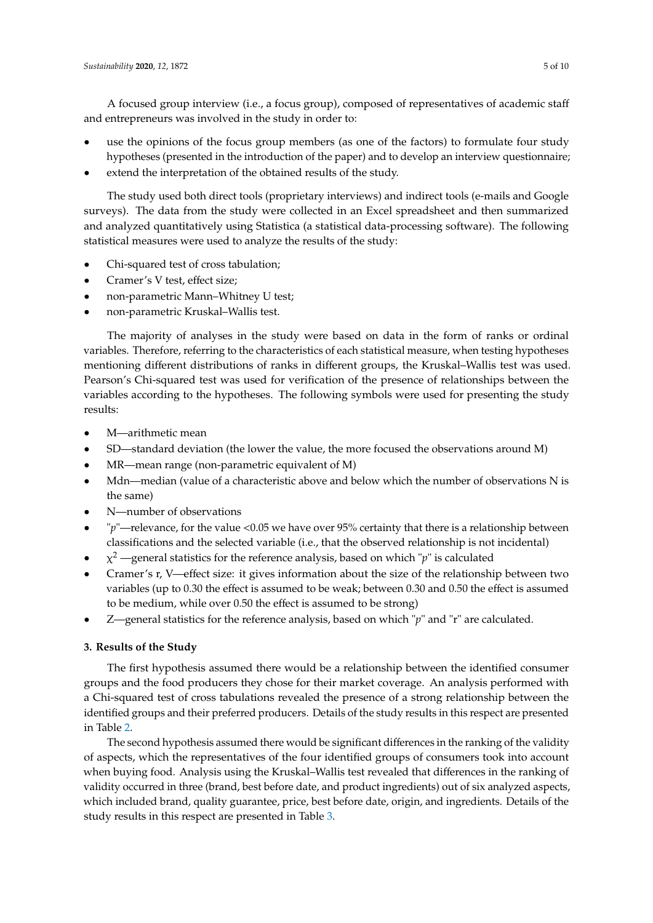A focused group interview (i.e., a focus group), composed of representatives of academic staff and entrepreneurs was involved in the study in order to:

- use the opinions of the focus group members (as one of the factors) to formulate four study hypotheses (presented in the introduction of the paper) and to develop an interview questionnaire;
- extend the interpretation of the obtained results of the study.

The study used both direct tools (proprietary interviews) and indirect tools (e-mails and Google surveys). The data from the study were collected in an Excel spreadsheet and then summarized and analyzed quantitatively using Statistica (a statistical data-processing software). The following statistical measures were used to analyze the results of the study:

- Chi-squared test of cross tabulation;
- Cramer's V test, effect size;
- non-parametric Mann–Whitney U test;
- non-parametric Kruskal–Wallis test.

The majority of analyses in the study were based on data in the form of ranks or ordinal variables. Therefore, referring to the characteristics of each statistical measure, when testing hypotheses mentioning different distributions of ranks in different groups, the Kruskal–Wallis test was used. Pearson's Chi-squared test was used for verification of the presence of relationships between the variables according to the hypotheses. The following symbols were used for presenting the study results:

- M-arithmetic mean
- SD—standard deviation (the lower the value, the more focused the observations around M)
- MR—mean range (non-parametric equivalent of M)
- Mdn—median (value of a characteristic above and below which the number of observations N is the same)
- N-number of observations
- "*p*"—relevance, for the value <0.05 we have over 95% certainty that there is a relationship between classifications and the selected variable (i.e., that the observed relationship is not incidental)
- $\chi^2$  —general statistics for the reference analysis, based on which "p" is calculated
- Cramer's r, V—effect size: it gives information about the size of the relationship between two variables (up to 0.30 the effect is assumed to be weak; between 0.30 and 0.50 the effect is assumed to be medium, while over 0.50 the effect is assumed to be strong)
- Z—general statistics for the reference analysis, based on which "*p*" and "r" are calculated.

# **3. Results of the Study**

The first hypothesis assumed there would be a relationship between the identified consumer groups and the food producers they chose for their market coverage. An analysis performed with a Chi-squared test of cross tabulations revealed the presence of a strong relationship between the identified groups and their preferred producers. Details of the study results in this respect are presented in Table [2.](#page-5-0)

The second hypothesis assumed there would be significant differences in the ranking of the validity of aspects, which the representatives of the four identified groups of consumers took into account when buying food. Analysis using the Kruskal–Wallis test revealed that differences in the ranking of validity occurred in three (brand, best before date, and product ingredients) out of six analyzed aspects, which included brand, quality guarantee, price, best before date, origin, and ingredients. Details of the study results in this respect are presented in Table [3.](#page-5-1)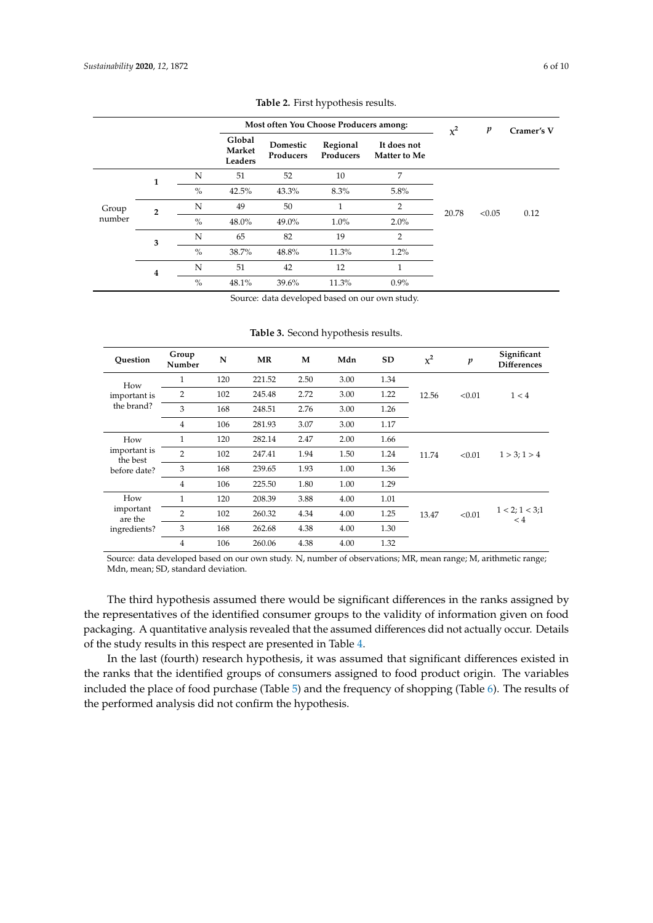<span id="page-5-0"></span>

|                 |   |               |                             |                       | Most often You Choose Producers among: |                                    | $\chi^2$ | $\boldsymbol{p}$ | Cramer's V |
|-----------------|---|---------------|-----------------------------|-----------------------|----------------------------------------|------------------------------------|----------|------------------|------------|
|                 |   |               | Global<br>Market<br>Leaders | Domestic<br>Producers | Regional<br>Producers                  | It does not<br><b>Matter to Me</b> |          |                  |            |
| Group<br>number | 1 | N             | 51                          | 52                    | 10                                     | 7                                  |          |                  |            |
|                 |   | $\frac{0}{0}$ | 42.5%                       | 43.3%                 | 8.3%                                   | 5.8%                               |          |                  |            |
|                 | 2 | N             | 49                          | 50                    | 1                                      | $\overline{2}$                     | 20.78    | < 0.05           | 0.12       |
|                 |   | $\frac{0}{0}$ | 48.0%                       | 49.0%                 | 1.0%                                   | $2.0\%$                            |          |                  |            |
|                 | 3 | N             | 65                          | 82                    | 19                                     | $\overline{2}$                     |          |                  |            |
|                 |   | $\%$          | 38.7%                       | 48.8%                 | 11.3%                                  | 1.2%                               |          |                  |            |
|                 | 4 | N             | 51                          | 42                    | 12                                     | 1                                  |          |                  |            |
|                 |   | $\frac{0}{0}$ | 48.1%                       | 39.6%                 | 11.3%                                  | $0.9\%$                            |          |                  |            |
|                 |   |               |                             |                       |                                        | .                                  |          |                  |            |

**Table 2.** First hypothesis results.

Source: data developed based on our own study.

#### **Table 3.** Second hypothesis results.

<span id="page-5-1"></span>

| Ouestion                                        | Group<br>Number | N   | MR     | М    | Mdn  | <b>SD</b> | $x^2$ | $\boldsymbol{p}$ | Significant<br><b>Differences</b> |
|-------------------------------------------------|-----------------|-----|--------|------|------|-----------|-------|------------------|-----------------------------------|
| How<br>important is                             | 1               | 120 | 221.52 | 2.50 | 3.00 | 1.34      |       |                  |                                   |
|                                                 | 2               | 102 | 245.48 | 2.72 | 3.00 | 1.22      | 12.56 | < 0.01           | 1 < 4                             |
| the brand?                                      | 3               | 168 | 248.51 | 2.76 | 3.00 | 1.26      |       |                  |                                   |
|                                                 | 4               | 106 | 281.93 | 3.07 | 3.00 | 1.17      |       |                  |                                   |
| How<br>important is<br>the best<br>before date? | 1               | 120 | 282.14 | 2.47 | 2.00 | 1.66      |       |                  |                                   |
|                                                 | $\overline{2}$  | 102 | 247.41 | 1.94 | 1.50 | 1.24      | 11.74 | < 0.01           | 1 > 3; 1 > 4                      |
|                                                 | 3               | 168 | 239.65 | 1.93 | 1.00 | 1.36      |       |                  |                                   |
|                                                 | 4               | 106 | 225.50 | 1.80 | 1.00 | 1.29      |       |                  |                                   |
| How                                             | $\mathbf{1}$    | 120 | 208.39 | 3.88 | 4.00 | 1.01      |       |                  |                                   |
| important<br>are the<br>ingredients?            | 2               | 102 | 260.32 | 4.34 | 4.00 | 1.25      | 13.47 | < 0.01           | $1 < 2$ ; $1 < 3$ ; 1<br>$\lt 4$  |
|                                                 | 3               | 168 | 262.68 | 4.38 | 4.00 | 1.30      |       |                  |                                   |
|                                                 | 4               | 106 | 260.06 | 4.38 | 4.00 | 1.32      |       |                  |                                   |

Source: data developed based on our own study. N, number of observations; MR, mean range; M, arithmetic range; Mdn, mean; SD, standard deviation.

The third hypothesis assumed there would be significant differences in the ranks assigned by the representatives of the identified consumer groups to the validity of information given on food packaging. A quantitative analysis revealed that the assumed differences did not actually occur. Details of the study results in this respect are presented in Table [4.](#page-6-0)

In the last (fourth) research hypothesis, it was assumed that significant differences existed in the ranks that the identified groups of consumers assigned to food product origin. The variables included the place of food purchase (Table [5\)](#page-6-1) and the frequency of shopping (Table [6\)](#page-6-2). The results of the performed analysis did not confirm the hypothesis.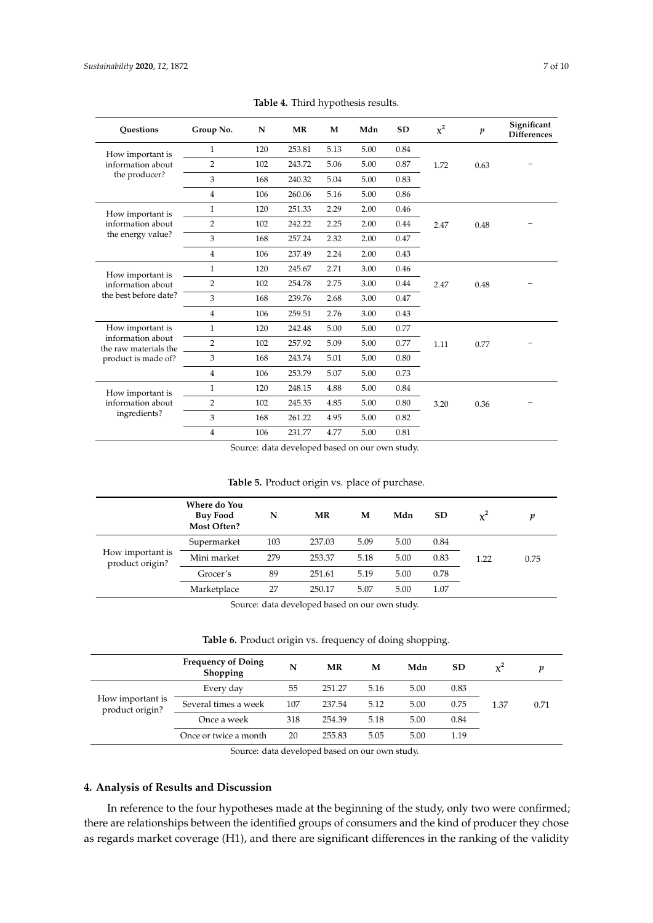<span id="page-6-0"></span>

| Questions                                  | Group No.      | N   | <b>MR</b> | M    | Mdn  | <b>SD</b> | $\chi^2$ | $\boldsymbol{p}$ | Significant<br><b>Differences</b> |
|--------------------------------------------|----------------|-----|-----------|------|------|-----------|----------|------------------|-----------------------------------|
| How important is                           | 1              | 120 | 253.81    | 5.13 | 5.00 | 0.84      |          |                  |                                   |
| information about<br>the producer?         | $\overline{2}$ | 102 | 243.72    | 5.06 | 5.00 | 0.87      | 1.72     | 0.63             |                                   |
|                                            | 3              | 168 | 240.32    | 5.04 | 5.00 | 0.83      |          |                  |                                   |
|                                            | $\overline{4}$ | 106 | 260.06    | 5.16 | 5.00 | 0.86      |          |                  |                                   |
| How important is                           | 1              | 120 | 251.33    | 2.29 | 2.00 | 0.46      |          |                  |                                   |
| information about                          | 2              | 102 | 242.22    | 2.25 | 2.00 | 0.44      | 2.47     | 0.48             |                                   |
| the energy value?                          | 3              | 168 | 257.24    | 2.32 | 2.00 | 0.47      |          |                  |                                   |
|                                            | $\overline{4}$ | 106 | 237.49    | 2.24 | 2.00 | 0.43      |          |                  |                                   |
| How important is                           | 1              | 120 | 245.67    | 2.71 | 3.00 | 0.46      |          |                  |                                   |
| information about                          | 2              | 102 | 254.78    | 2.75 | 3.00 | 0.44      | 2.47     | 0.48             |                                   |
| the best before date?                      | 3              | 168 | 239.76    | 2.68 | 3.00 | 0.47      |          |                  |                                   |
|                                            | 4              | 106 | 259.51    | 2.76 | 3.00 | 0.43      |          |                  |                                   |
| How important is                           | $\mathbf{1}$   | 120 | 242.48    | 5.00 | 5.00 | 0.77      |          |                  |                                   |
| information about<br>the raw materials the | $\overline{2}$ | 102 | 257.92    | 5.09 | 5.00 | 0.77      | 1.11     | 0.77             |                                   |
| product is made of?                        | 3              | 168 | 243.74    | 5.01 | 5.00 | 0.80      |          |                  |                                   |
|                                            | 4              | 106 | 253.79    | 5.07 | 5.00 | 0.73      |          |                  |                                   |
| How important is                           | 1              | 120 | 248.15    | 4.88 | 5.00 | 0.84      |          |                  |                                   |
| information about                          | 2              | 102 | 245.35    | 4.85 | 5.00 | 0.80      | 3.20     | 0.36             |                                   |
| ingredients?                               | 3              | 168 | 261.22    | 4.95 | 5.00 | 0.82      |          |                  |                                   |
|                                            | $\overline{4}$ | 106 | 231.77    | 4.77 | 5.00 | 0.81      |          |                  |                                   |

**Table 4.** Third hypothesis results.

Source: data developed based on our own study.

**Table 5.** Product origin vs. place of purchase.

<span id="page-6-1"></span>

|                                     | Where do You<br><b>Buy Food</b><br>Most Often? | N   | MR     | M    | Mdn  | <b>SD</b> | $x^2$ | n    |
|-------------------------------------|------------------------------------------------|-----|--------|------|------|-----------|-------|------|
| How important is<br>product origin? | Supermarket                                    | 103 | 237.03 | 5.09 | 5.00 | 0.84      |       |      |
|                                     | Mini market                                    | 279 | 253.37 | 5.18 | 5.00 | 0.83      | 1.22  | 0.75 |
|                                     | Grocer's                                       | 89  | 251.61 | 5.19 | 5.00 | 0.78      |       |      |
|                                     | Marketplace                                    | 27  | 250.17 | 5.07 | 5.00 | 1.07      |       |      |

Source: data developed based on our own study.

**Table 6.** Product origin vs. frequency of doing shopping.

<span id="page-6-2"></span>

|                                     | <b>Frequency of Doing</b><br><b>Shopping</b> | N   | MR     | М    | Mdn  | <b>SD</b> | $\mathbf{v}^2$ |      |
|-------------------------------------|----------------------------------------------|-----|--------|------|------|-----------|----------------|------|
|                                     | Every day                                    | 55  | 251.27 | 5.16 | 5.00 | 0.83      |                |      |
| How important is<br>product origin? | Several times a week                         | 107 | 237.54 | 5.12 | 5.00 | 0.75      | 1.37           | 0.71 |
|                                     | Once a week                                  | 318 | 254.39 | 5.18 | 5.00 | 0.84      |                |      |
|                                     | Once or twice a month                        | 20  | 255.83 | 5.05 | 5.00 | 1.19      |                |      |

Source: data developed based on our own study.

### **4. Analysis of Results and Discussion**

In reference to the four hypotheses made at the beginning of the study, only two were confirmed; there are relationships between the identified groups of consumers and the kind of producer they chose as regards market coverage (H1), and there are significant differences in the ranking of the validity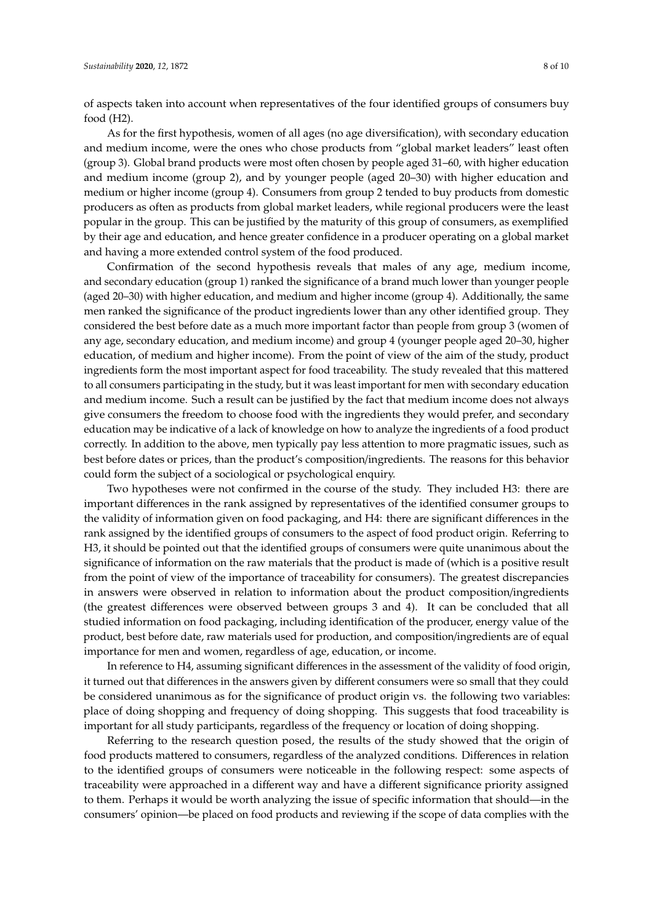of aspects taken into account when representatives of the four identified groups of consumers buy food (H2).

As for the first hypothesis, women of all ages (no age diversification), with secondary education and medium income, were the ones who chose products from "global market leaders" least often (group 3). Global brand products were most often chosen by people aged 31–60, with higher education and medium income (group 2), and by younger people (aged 20–30) with higher education and medium or higher income (group 4). Consumers from group 2 tended to buy products from domestic producers as often as products from global market leaders, while regional producers were the least popular in the group. This can be justified by the maturity of this group of consumers, as exemplified by their age and education, and hence greater confidence in a producer operating on a global market and having a more extended control system of the food produced.

Confirmation of the second hypothesis reveals that males of any age, medium income, and secondary education (group 1) ranked the significance of a brand much lower than younger people (aged 20–30) with higher education, and medium and higher income (group 4). Additionally, the same men ranked the significance of the product ingredients lower than any other identified group. They considered the best before date as a much more important factor than people from group 3 (women of any age, secondary education, and medium income) and group 4 (younger people aged 20–30, higher education, of medium and higher income). From the point of view of the aim of the study, product ingredients form the most important aspect for food traceability. The study revealed that this mattered to all consumers participating in the study, but it was least important for men with secondary education and medium income. Such a result can be justified by the fact that medium income does not always give consumers the freedom to choose food with the ingredients they would prefer, and secondary education may be indicative of a lack of knowledge on how to analyze the ingredients of a food product correctly. In addition to the above, men typically pay less attention to more pragmatic issues, such as best before dates or prices, than the product's composition/ingredients. The reasons for this behavior could form the subject of a sociological or psychological enquiry.

Two hypotheses were not confirmed in the course of the study. They included H3: there are important differences in the rank assigned by representatives of the identified consumer groups to the validity of information given on food packaging, and H4: there are significant differences in the rank assigned by the identified groups of consumers to the aspect of food product origin. Referring to H3, it should be pointed out that the identified groups of consumers were quite unanimous about the significance of information on the raw materials that the product is made of (which is a positive result from the point of view of the importance of traceability for consumers). The greatest discrepancies in answers were observed in relation to information about the product composition/ingredients (the greatest differences were observed between groups 3 and 4). It can be concluded that all studied information on food packaging, including identification of the producer, energy value of the product, best before date, raw materials used for production, and composition/ingredients are of equal importance for men and women, regardless of age, education, or income.

In reference to H4, assuming significant differences in the assessment of the validity of food origin, it turned out that differences in the answers given by different consumers were so small that they could be considered unanimous as for the significance of product origin vs. the following two variables: place of doing shopping and frequency of doing shopping. This suggests that food traceability is important for all study participants, regardless of the frequency or location of doing shopping.

Referring to the research question posed, the results of the study showed that the origin of food products mattered to consumers, regardless of the analyzed conditions. Differences in relation to the identified groups of consumers were noticeable in the following respect: some aspects of traceability were approached in a different way and have a different significance priority assigned to them. Perhaps it would be worth analyzing the issue of specific information that should—in the consumers' opinion—be placed on food products and reviewing if the scope of data complies with the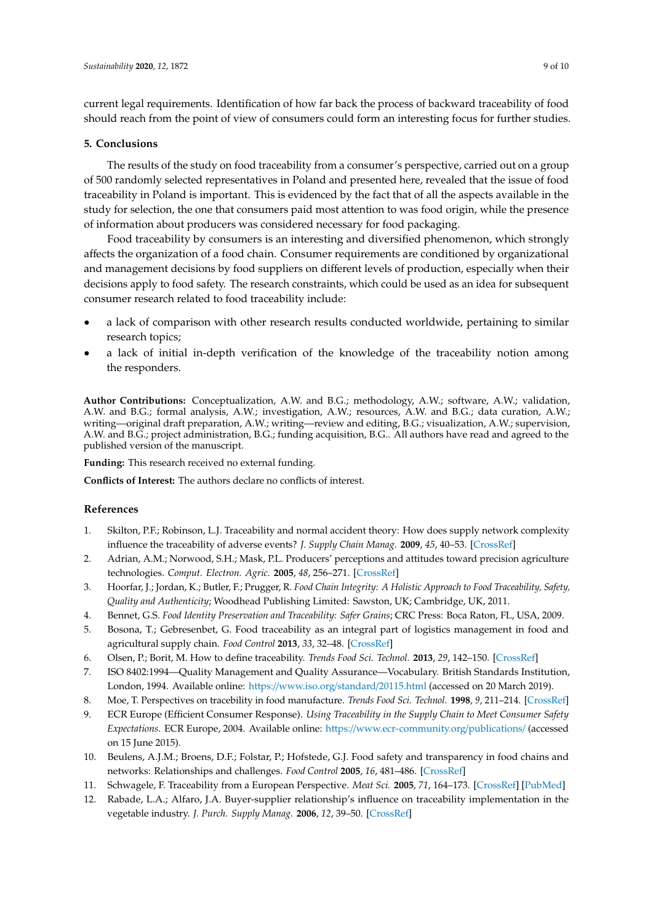current legal requirements. Identification of how far back the process of backward traceability of food should reach from the point of view of consumers could form an interesting focus for further studies.

#### **5. Conclusions**

The results of the study on food traceability from a consumer's perspective, carried out on a group of 500 randomly selected representatives in Poland and presented here, revealed that the issue of food traceability in Poland is important. This is evidenced by the fact that of all the aspects available in the study for selection, the one that consumers paid most attention to was food origin, while the presence of information about producers was considered necessary for food packaging.

Food traceability by consumers is an interesting and diversified phenomenon, which strongly affects the organization of a food chain. Consumer requirements are conditioned by organizational and management decisions by food suppliers on different levels of production, especially when their decisions apply to food safety. The research constraints, which could be used as an idea for subsequent consumer research related to food traceability include:

- a lack of comparison with other research results conducted worldwide, pertaining to similar research topics;
- a lack of initial in-depth verification of the knowledge of the traceability notion among the responders.

**Author Contributions:** Conceptualization, A.W. and B.G.; methodology, A.W.; software, A.W.; validation, A.W. and B.G.; formal analysis, A.W.; investigation, A.W.; resources, A.W. and B.G.; data curation, A.W.; writing—original draft preparation, A.W.; writing—review and editing, B.G.; visualization, A.W.; supervision, A.W. and B.G.; project administration, B.G.; funding acquisition, B.G.. All authors have read and agreed to the published version of the manuscript.

**Funding:** This research received no external funding.

**Conflicts of Interest:** The authors declare no conflicts of interest.

#### **References**

- <span id="page-8-0"></span>1. Skilton, P.F.; Robinson, L.J. Traceability and normal accident theory: How does supply network complexity influence the traceability of adverse events? *J. Supply Chain Manag.* **2009**, *45*, 40–53. [\[CrossRef\]](http://dx.doi.org/10.1111/j.1745-493X.2009.03170.x)
- 2. Adrian, A.M.; Norwood, S.H.; Mask, P.L. Producers' perceptions and attitudes toward precision agriculture technologies. *Comput. Electron. Agric.* **2005**, *48*, 256–271. [\[CrossRef\]](http://dx.doi.org/10.1016/j.compag.2005.04.004)
- 3. Hoorfar, J.; Jordan, K.; Butler, F.; Prugger, R. *Food Chain Integrity: A Holistic Approach to Food Traceability, Safety, Quality and Authenticity*; Woodhead Publishing Limited: Sawston, UK; Cambridge, UK, 2011.
- 4. Bennet, G.S. *Food Identity Preservation and Traceability: Safer Grains*; CRC Press: Boca Raton, FL, USA, 2009.
- <span id="page-8-1"></span>5. Bosona, T.; Gebresenbet, G. Food traceability as an integral part of logistics management in food and agricultural supply chain. *Food Control* **2013**, *33*, 32–48. [\[CrossRef\]](http://dx.doi.org/10.1016/j.foodcont.2013.02.004)
- <span id="page-8-2"></span>6. Olsen, P.; Borit, M. How to define traceability. *Trends Food Sci. Technol.* **2013**, *29*, 142–150. [\[CrossRef\]](http://dx.doi.org/10.1016/j.tifs.2012.10.003)
- <span id="page-8-3"></span>7. ISO 8402:1994—Quality Management and Quality Assurance—Vocabulary. British Standards Institution, London, 1994. Available online: https://[www.iso.org](https://www.iso.org/standard/20115.html)/standard/20115.html (accessed on 20 March 2019).
- <span id="page-8-4"></span>8. Moe, T. Perspectives on tracebility in food manufacture. *Trends Food Sci. Technol.* **1998**, *9*, 211–214. [\[CrossRef\]](http://dx.doi.org/10.1016/S0924-2244(98)00037-5)
- <span id="page-8-5"></span>9. ECR Europe (Efficient Consumer Response). *Using Traceability in the Supply Chain to Meet Consumer Safety Expectations*. ECR Europe, 2004. Available online: https://[www.ecr-community.org](https://www.ecr-community.org/publications/)/publications/ (accessed on 15 June 2015).
- <span id="page-8-6"></span>10. Beulens, A.J.M.; Broens, D.F.; Folstar, P.; Hofstede, G.J. Food safety and transparency in food chains and networks: Relationships and challenges. *Food Control* **2005**, *16*, 481–486. [\[CrossRef\]](http://dx.doi.org/10.1016/j.foodcont.2003.10.010)
- <span id="page-8-7"></span>11. Schwagele, F. Traceability from a European Perspective. *Meat Sci.* **2005**, *71*, 164–173. [\[CrossRef\]](http://dx.doi.org/10.1016/j.meatsci.2005.03.002) [\[PubMed\]](http://www.ncbi.nlm.nih.gov/pubmed/22064062)
- <span id="page-8-8"></span>12. Rabade, L.A.; Alfaro, J.A. Buyer-supplier relationship's influence on traceability implementation in the vegetable industry. *J. Purch. Supply Manag.* **2006**, *12*, 39–50. [\[CrossRef\]](http://dx.doi.org/10.1016/j.pursup.2006.02.003)